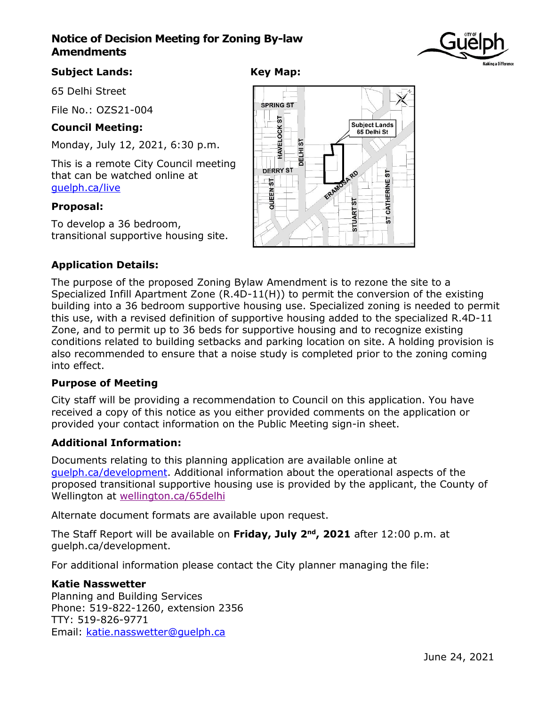# **Notice of Decision Meeting for Zoning By-law Amendments**

## **Subject Lands:**

65 Delhi Street

File No.: OZS21-004

## **Council Meeting:**

Monday, July 12, 2021, 6:30 p.m.

This is a remote City Council meeting that can be watched online at [guelph.ca/live](http://guelph.ca/live)

#### **Proposal:**

To develop a 36 bedroom, transitional supportive housing site.

# **Key Map:**



# **Application Details:**

The purpose of the proposed Zoning Bylaw Amendment is to rezone the site to a Specialized Infill Apartment Zone (R.4D-11(H)) to permit the conversion of the existing building into a 36 bedroom supportive housing use. Specialized zoning is needed to permit this use, with a revised definition of supportive housing added to the specialized R.4D-11 Zone, and to permit up to 36 beds for supportive housing and to recognize existing conditions related to building setbacks and parking location on site. A holding provision is also recommended to ensure that a noise study is completed prior to the zoning coming into effect.

# **Purpose of Meeting**

City staff will be providing a recommendation to Council on this application. You have received a copy of this notice as you either provided comments on the application or provided your contact information on the Public Meeting sign-in sheet.

#### **Additional Information:**

Documents relating to this planning application are available online at [guelph.ca/development.](https://guelph.ca/2021/04/65-delhi-street/) Additional information about the operational aspects of the proposed transitional supportive housing use is provided by the applicant, the County of Wellington at [wellington.ca/65delhi](https://www.wellington.ca/65delhi/) 

Alternate document formats are available upon request.

The Staff Report will be available on Friday, July 2<sup>nd</sup>, 2021 after 12:00 p.m. at guelph.ca/development.

For additional information please contact the City planner managing the file:

#### **Katie Nasswetter**

Planning and Building Services Phone: 519-822-1260, extension 2356 TTY: 519-826-9771 Email: [katie.nasswetter@guelph.ca](mailto:katie.nasswetter@guelph.ca)

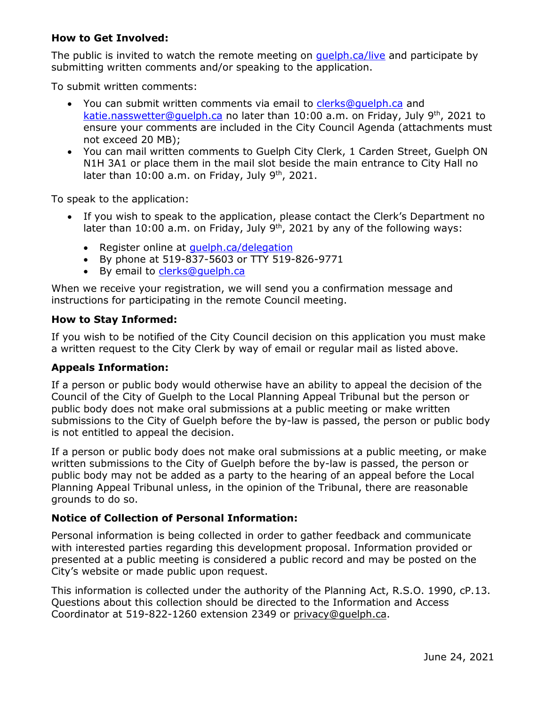#### **How to Get Involved:**

The public is invited to watch the remote meeting on [guelph.ca/live](http://guelph.ca/live) and participate by submitting written comments and/or speaking to the application.

To submit written comments:

- You can submit written comments via email to [clerks@guelph.ca](mailto:clerks@guelph.ca) and [katie.nasswetter@guelph.ca](mailto:katie.nasswetter@guelph.ca) no later than 10:00 a.m. on Friday, July 9<sup>th</sup>, 2021 to ensure your comments are included in the City Council Agenda (attachments must not exceed 20 MB);
- You can mail written comments to Guelph City Clerk, 1 Carden Street, Guelph ON N1H 3A1 or place them in the mail slot beside the main entrance to City Hall no later than 10:00 a.m. on Friday, July 9th, 2021.

To speak to the application:

- If you wish to speak to the application, please contact the Clerk's Department no later than 10:00 a.m. on Friday, July  $9<sup>th</sup>$ , 2021 by any of the following ways:
	- Register online at quelph.ca/delegation
	- By phone at 519-837-5603 or TTY 519-826-9771
	- By email to [clerks@guelph.ca](mailto:clerks@guelph.ca)

When we receive your registration, we will send you a confirmation message and instructions for participating in the remote Council meeting.

#### **How to Stay Informed:**

If you wish to be notified of the City Council decision on this application you must make a written request to the City Clerk by way of email or regular mail as listed above.

#### **Appeals Information:**

If a person or public body would otherwise have an ability to appeal the decision of the Council of the City of Guelph to the Local Planning Appeal Tribunal but the person or public body does not make oral submissions at a public meeting or make written submissions to the City of Guelph before the by-law is passed, the person or public body is not entitled to appeal the decision.

If a person or public body does not make oral submissions at a public meeting, or make written submissions to the City of Guelph before the by-law is passed, the person or public body may not be added as a party to the hearing of an appeal before the Local Planning Appeal Tribunal unless, in the opinion of the Tribunal, there are reasonable grounds to do so.

#### **Notice of Collection of Personal Information:**

Personal information is being collected in order to gather feedback and communicate with interested parties regarding this development proposal. Information provided or presented at a public meeting is considered a public record and may be posted on the City's website or made public upon request.

This information is collected under the authority of the Planning Act, R.S.O. 1990, cP.13. Questions about this collection should be directed to the Information and Access Coordinator at 519-822-1260 extension 2349 or [privacy@guelph.ca.](mailto:privacy@guelph.ca)